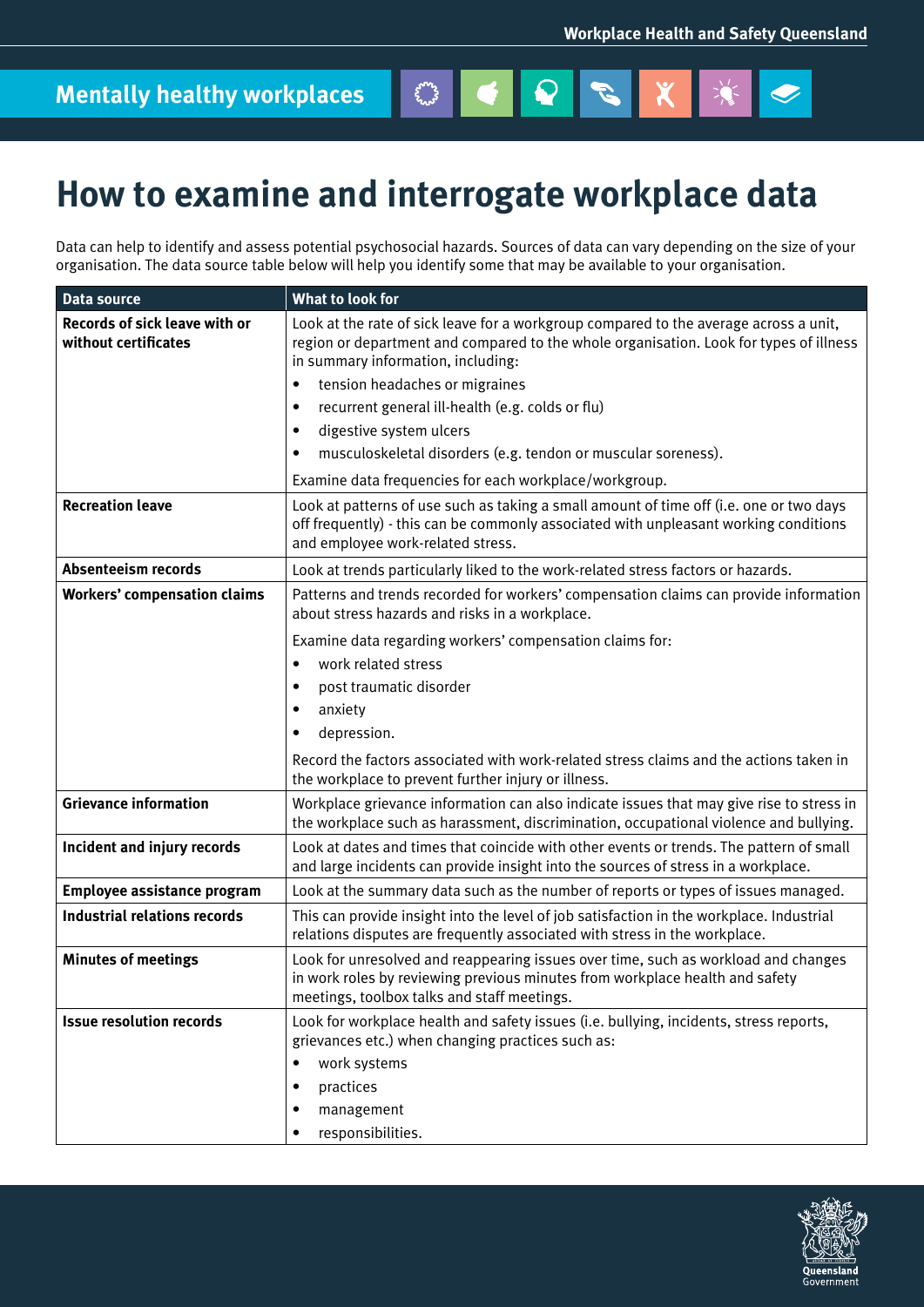$\bullet$ 

## **How to examine and interrogate workplace data**

Data can help to identify and assess potential psychosocial hazards. Sources of data can vary depending on the size of your organisation. The data source table below will help you identify some that may be available to your organisation.

England of

 $|\mathbf{Q}|$ 

 $\begin{array}{c} \mathcal{J} \end{array}$ 

| <b>Data source</b>                                    | What to look for                                                                                                                                                                                                      |
|-------------------------------------------------------|-----------------------------------------------------------------------------------------------------------------------------------------------------------------------------------------------------------------------|
| Records of sick leave with or<br>without certificates | Look at the rate of sick leave for a workgroup compared to the average across a unit,<br>region or department and compared to the whole organisation. Look for types of illness<br>in summary information, including: |
|                                                       | tension headaches or migraines<br>$\bullet$                                                                                                                                                                           |
|                                                       | recurrent general ill-health (e.g. colds or flu)<br>$\bullet$                                                                                                                                                         |
|                                                       | digestive system ulcers<br>$\bullet$                                                                                                                                                                                  |
|                                                       | musculoskeletal disorders (e.g. tendon or muscular soreness).<br>$\bullet$                                                                                                                                            |
|                                                       | Examine data frequencies for each workplace/workgroup.                                                                                                                                                                |
| <b>Recreation leave</b>                               | Look at patterns of use such as taking a small amount of time off (i.e. one or two days<br>off frequently) - this can be commonly associated with unpleasant working conditions<br>and employee work-related stress.  |
| <b>Absenteeism records</b>                            | Look at trends particularly liked to the work-related stress factors or hazards.                                                                                                                                      |
| <b>Workers' compensation claims</b>                   | Patterns and trends recorded for workers' compensation claims can provide information<br>about stress hazards and risks in a workplace.                                                                               |
|                                                       | Examine data regarding workers' compensation claims for:                                                                                                                                                              |
|                                                       | work related stress<br>$\bullet$                                                                                                                                                                                      |
|                                                       | post traumatic disorder<br>$\bullet$                                                                                                                                                                                  |
|                                                       | anxiety<br>$\bullet$                                                                                                                                                                                                  |
|                                                       | depression.<br>$\bullet$                                                                                                                                                                                              |
|                                                       | Record the factors associated with work-related stress claims and the actions taken in<br>the workplace to prevent further injury or illness.                                                                         |
| <b>Grievance information</b>                          | Workplace grievance information can also indicate issues that may give rise to stress in<br>the workplace such as harassment, discrimination, occupational violence and bullying.                                     |
| Incident and injury records                           | Look at dates and times that coincide with other events or trends. The pattern of small<br>and large incidents can provide insight into the sources of stress in a workplace.                                         |
| Employee assistance program                           | Look at the summary data such as the number of reports or types of issues managed.                                                                                                                                    |
| <b>Industrial relations records</b>                   | This can provide insight into the level of job satisfaction in the workplace. Industrial<br>relations disputes are frequently associated with stress in the workplace.                                                |
| <b>Minutes of meetings</b>                            | Look for unresolved and reappearing issues over time, such as workload and changes<br>in work roles by reviewing previous minutes from workplace health and safety<br>meetings, toolbox talks and staff meetings.     |
| <b>Issue resolution records</b>                       | Look for workplace health and safety issues (i.e. bullying, incidents, stress reports,<br>grievances etc.) when changing practices such as:                                                                           |
|                                                       | work systems<br>$\bullet$                                                                                                                                                                                             |
|                                                       | practices                                                                                                                                                                                                             |
|                                                       | management                                                                                                                                                                                                            |
|                                                       | responsibilities.                                                                                                                                                                                                     |